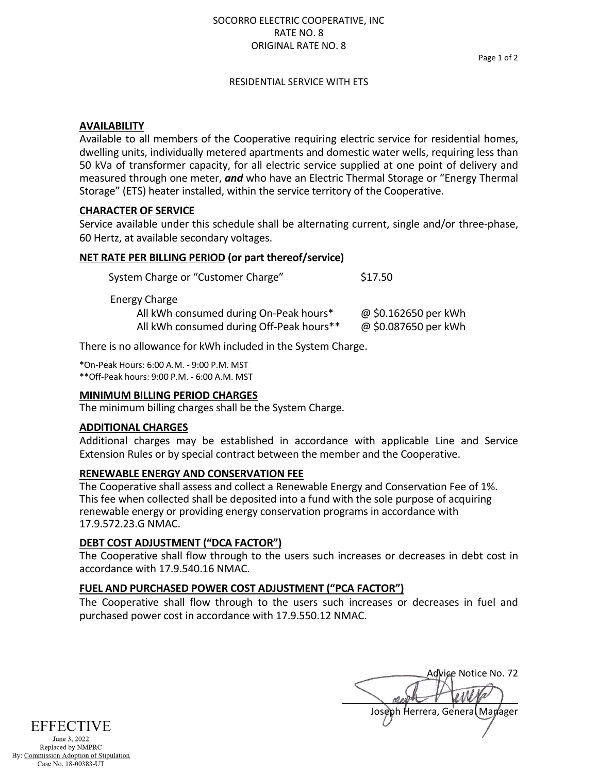### SOCORRO ELECTRIC COOPERATIVE, INC RATE NO. 8 ORIGINAL RATE NO. 8

Page 1 of 2

### RESIDENTIAL SERVICE WITH ETS

# **AVAILABILITY**

Available to all members of the Cooperative requiring electric service for residential homes, dwelling units, individually metered apartments and domestic water wells, requiring less than 50 kVa of transformer capacity, for all electric service supplied at one point of delivery and measured through one meter, *and* who have an Electric Thermal Storage or "Energy Thermal Storage" (ETS) heater installed, within the service territory of the Cooperative.

# **CHARACTER OF SERVICE**

Service available under this schedule shall be alternating current, single and/or three-phase, 60 Hertz, at available secondary voltages.

# **NET RATE PER BILLING PERIOD (or part thereof/service)**

| System Charge or "Customer Charge"                      | \$17.50              |
|---------------------------------------------------------|----------------------|
| Energy Charge<br>All kWh consumed during On-Peak hours* | @ \$0.162650 per kWh |
| All kWh consumed during Off-Peak hours**                | @ \$0.087650 per kWh |

There is no allowance for kWh included in the System Charge.

\*On-Peak Hours: 6:00 A.M. - 9:00 P.M. MST \*\*Off-Peak hours: 9:00 P.M. - 6:00 A.M. MST

### **MINIMUM BILLING PERIOD CHARGES**

The minimum billing charges shall be the System Charge.

### **ADDITIONAL CHARGES**

Additional charges may be established in accordance with applicable Line and Service Extension Rules or by special contract between the member and the Cooperative.

### **RENEWABLE ENERGY AND CONSERVATION FEE**

The Cooperative shall assess and collect a Renewable Energy and Conservation Fee of 1%. This fee when collected shall be deposited into a fund with the sole purpose of acquiring renewable energy or providing energy conservation programs in accordance with 17.9.572.23.G NMAC.

# **DEBT COST ADJUSTMENT ("DCA FACTOR")**

The Cooperative shall flow through to the users such increases or decreases in debt cost in accordance with 17.9.540.16 NMAC.

# **FUEL AND PURCHASED POWER COST ADJUSTMENT ("PCA FACTOR")**

The Cooperative shall flow through to the users such increases or decreases in fuel and purchased power cost in accordance with 17.9.550.12 NMAC.

Advige Notice No. 72 Joseph Herrera, General Manager

EFFECTIVE June 3, 2022

Replaced by NMPRC By: Commission Adoption of Stipulation Case No. 18-00383-UT